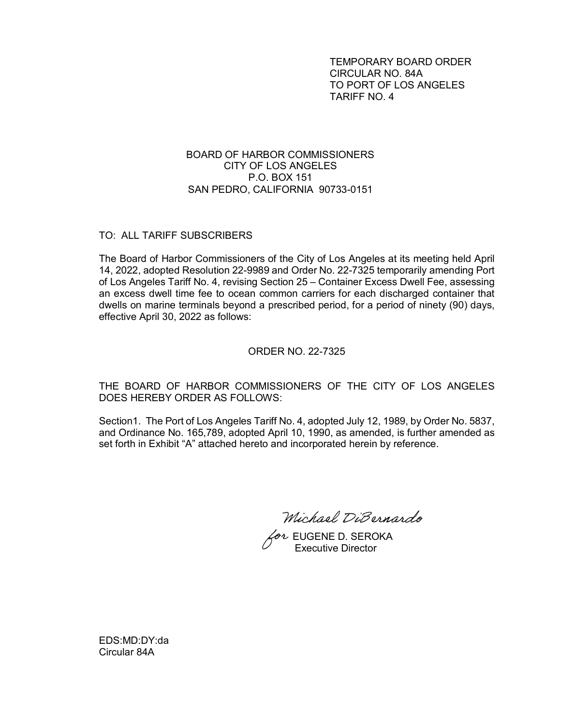TEMPORARY BOARD ORDER CIRCULAR NO. 84A TO PORT OF LOS ANGELES TARIFF NO. 4

## BOARD OF HARBOR COMMISSIONERS CITY OF LOS ANGELES P.O. BOX 151 SAN PEDRO, CALIFORNIA 90733-0151

## TO: ALL TARIFF SUBSCRIBERS

The Board of Harbor Commissioners of the City of Los Angeles at its meeting held April 14, 2022, adopted Resolution 22-9989 and Order No. 22-7325 temporarily amending Port of Los Angeles Tariff No. 4, revising Section 25 – Container Excess Dwell Fee, assessing an excess dwell time fee to ocean common carriers for each discharged container that dwells on marine terminals beyond a prescribed period, for a period of ninety (90) days, effective April 30, 2022 as follows:

#### ORDER NO. 22-7325

# THE BOARD OF HARBOR COMMISSIONERS OF THE CITY OF LOS ANGELES DOES HEREBY ORDER AS FOLLOWS:

Section1. The Port of Los Angeles Tariff No. 4, adopted July 12, 1989, by Order No. 5837, and Ordinance No. 165,789, adopted April 10, 1990, as amended, is further amended as set forth in Exhibit "A" attached hereto and incorporated herein by reference.

Michael DiBernardo

 $\overline{\mathscr{C}}$ evene D. SEROKA Executive Director

EDS:MD:DY:da Circular 84A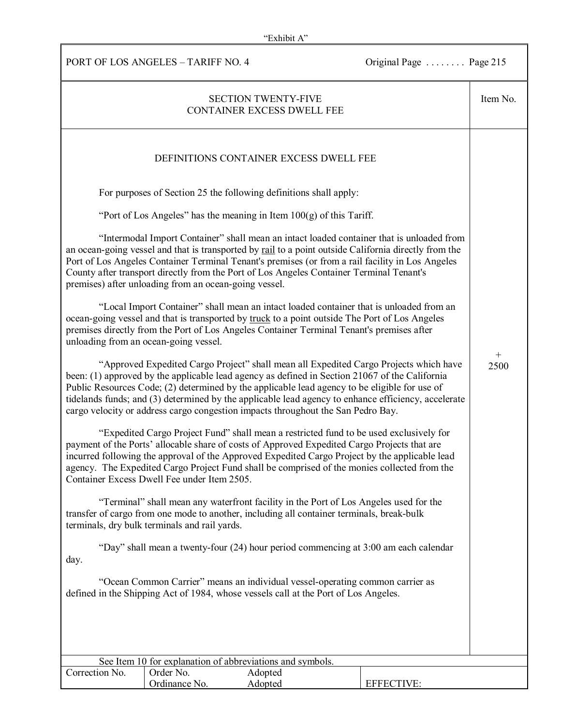PORT OF LOS ANGELES – TARIFF NO. 4 Original Page . . . . . . . . . Page 215

| <b>SECTION TWENTY-FIVE</b><br><b>CONTAINER EXCESS DWELL FEE</b>                                                                                                                                                                                                                                                                                                                                                                                                                     |                            |                                                                                        |                                                                                     | Item No.       |
|-------------------------------------------------------------------------------------------------------------------------------------------------------------------------------------------------------------------------------------------------------------------------------------------------------------------------------------------------------------------------------------------------------------------------------------------------------------------------------------|----------------------------|----------------------------------------------------------------------------------------|-------------------------------------------------------------------------------------|----------------|
| DEFINITIONS CONTAINER EXCESS DWELL FEE                                                                                                                                                                                                                                                                                                                                                                                                                                              |                            |                                                                                        |                                                                                     |                |
|                                                                                                                                                                                                                                                                                                                                                                                                                                                                                     |                            | For purposes of Section 25 the following definitions shall apply:                      |                                                                                     |                |
| "Port of Los Angeles" has the meaning in Item $100(g)$ of this Tariff.                                                                                                                                                                                                                                                                                                                                                                                                              |                            |                                                                                        |                                                                                     |                |
| "Intermodal Import Container" shall mean an intact loaded container that is unloaded from<br>an ocean-going vessel and that is transported by rail to a point outside California directly from the<br>Port of Los Angeles Container Terminal Tenant's premises (or from a rail facility in Los Angeles<br>County after transport directly from the Port of Los Angeles Container Terminal Tenant's<br>premises) after unloading from an ocean-going vessel.                         |                            |                                                                                        |                                                                                     |                |
| "Local Import Container" shall mean an intact loaded container that is unloaded from an<br>ocean-going vessel and that is transported by truck to a point outside The Port of Los Angeles<br>premises directly from the Port of Los Angeles Container Terminal Tenant's premises after<br>unloading from an ocean-going vessel.                                                                                                                                                     |                            |                                                                                        |                                                                                     |                |
| "Approved Expedited Cargo Project" shall mean all Expedited Cargo Projects which have<br>been: (1) approved by the applicable lead agency as defined in Section 21067 of the California<br>Public Resources Code; (2) determined by the applicable lead agency to be eligible for use of<br>tidelands funds; and (3) determined by the applicable lead agency to enhance efficiency, accelerate<br>cargo velocity or address cargo congestion impacts throughout the San Pedro Bay. |                            |                                                                                        |                                                                                     | $^{+}$<br>2500 |
| "Expedited Cargo Project Fund" shall mean a restricted fund to be used exclusively for<br>payment of the Ports' allocable share of costs of Approved Expedited Cargo Projects that are<br>incurred following the approval of the Approved Expedited Cargo Project by the applicable lead<br>agency. The Expedited Cargo Project Fund shall be comprised of the monies collected from the<br>Container Excess Dwell Fee under Item 2505.                                             |                            |                                                                                        |                                                                                     |                |
| "Terminal" shall mean any waterfront facility in the Port of Los Angeles used for the<br>transfer of cargo from one mode to another, including all container terminals, break-bulk<br>terminals, dry bulk terminals and rail yards.                                                                                                                                                                                                                                                 |                            |                                                                                        |                                                                                     |                |
| day.                                                                                                                                                                                                                                                                                                                                                                                                                                                                                |                            |                                                                                        | "Day" shall mean a twenty-four (24) hour period commencing at 3:00 am each calendar |                |
| "Ocean Common Carrier" means an individual vessel-operating common carrier as<br>defined in the Shipping Act of 1984, whose vessels call at the Port of Los Angeles.                                                                                                                                                                                                                                                                                                                |                            |                                                                                        |                                                                                     |                |
|                                                                                                                                                                                                                                                                                                                                                                                                                                                                                     |                            |                                                                                        |                                                                                     |                |
|                                                                                                                                                                                                                                                                                                                                                                                                                                                                                     |                            |                                                                                        |                                                                                     |                |
| Correction No.                                                                                                                                                                                                                                                                                                                                                                                                                                                                      | Order No.<br>Ordinance No. | See Item 10 for explanation of abbreviations and symbols.<br>Adopted<br><b>Adopted</b> | <b>EFFECTIVE:</b>                                                                   |                |